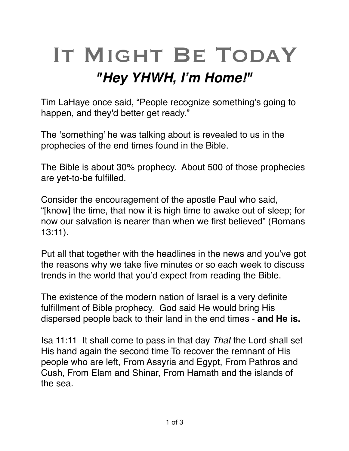## IT MIGHT BE TODAY *"Hey YHWH, I'm Home!"*

Tim LaHaye once said, "People recognize something's going to happen, and they'd better get ready."

The 'something' he was talking about is revealed to us in the prophecies of the end times found in the Bible.

The Bible is about 30% prophecy. About 500 of those prophecies are yet-to-be fulfilled.

Consider the encouragement of the apostle Paul who said, "[know] the time, that now it is high time to awake out of sleep; for now our salvation is nearer than when we first believed" (Romans 13:11).

Put all that together with the headlines in the news and you've got the reasons why we take five minutes or so each week to discuss trends in the world that you'd expect from reading the Bible.

The existence of the modern nation of Israel is a very definite fulfillment of Bible prophecy. God said He would bring His dispersed people back to their land in the end times - **and He is.**

[Isa 11:11](verseid:23.11.11) It shall come to pass in that day *That* the Lord shall set His hand again the second time To recover the remnant of His people who are left, From Assyria and Egypt, From Pathros and Cush, From Elam and Shinar, From Hamath and the islands of the sea.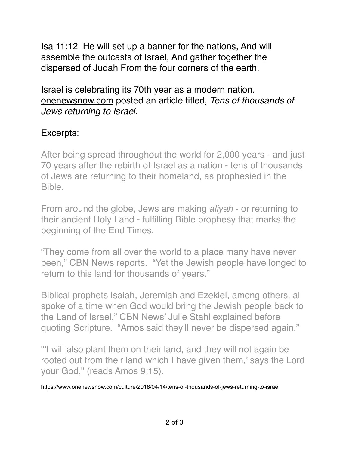[Isa 11:12](verseid:23.11.12) He will set up a banner for the nations, And will assemble the outcasts of Israel, And gather together the dispersed of Judah From the four corners of the earth.

Israel is celebrating its 70th year as a modern nation. [onenewsnow.com](http://onenewsnow.com) posted an article titled, *Tens of thousands of Jews returning to Israel.*

## Excerpts:

After being spread throughout the world for 2,000 years - and just 70 years after the rebirth of Israel as a nation - tens of thousands of Jews are returning to their homeland, as prophesied in the Bible.

From around the globe, Jews are making *aliyah* - or returning to their ancient Holy Land - fulfilling Bible prophesy that marks the beginning of the End Times.

"They come from all over the world to a place many have never been," [CBN News reports](http://www1.cbn.com/cbnnews/israel/2018/april/gathering-of-the-exiles-nbsp-after-thousands-of-years-jews-come-home-to-israel%20). "Yet the Jewish people have longed to return to this land for thousands of years."

Biblical prophets Isaiah, Jeremiah and Ezekiel, among others, all spoke of a time when God would bring the Jewish people back to the Land of Israel," CBN News' Julie Stahl explained before quoting Scripture. "Amos said they'll never be dispersed again."

"'I will also plant them on their land, and they will not again be rooted out from their land which I have given them,' says the Lord your God," (reads Amos 9:15).

https://www.onenewsnow.com/culture/2018/04/14/tens-of-thousands-of-jews-returning-to-israel